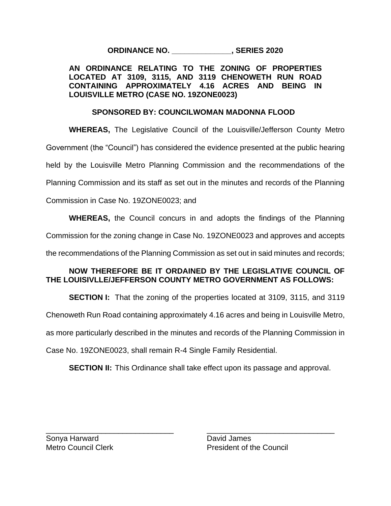**ORDINANCE NO. \_\_\_\_\_\_\_\_\_\_\_\_\_\_, SERIES 2020**

## **AN ORDINANCE RELATING TO THE ZONING OF PROPERTIES LOCATED AT 3109, 3115, AND 3119 CHENOWETH RUN ROAD CONTAINING APPROXIMATELY 4.16 ACRES AND BEING IN LOUISVILLE METRO (CASE NO. 19ZONE0023)**

## **SPONSORED BY: COUNCILWOMAN MADONNA FLOOD**

**WHEREAS,** The Legislative Council of the Louisville/Jefferson County Metro Government (the "Council") has considered the evidence presented at the public hearing held by the Louisville Metro Planning Commission and the recommendations of the Planning Commission and its staff as set out in the minutes and records of the Planning Commission in Case No. 19ZONE0023; and **WHEREAS,** the Council concurs in and adopts the findings of the Planning

Commission for the zoning change in Case No. 19ZONE0023 and approves and accepts

the recommendations of the Planning Commission as set out in said minutes and records;

## **NOW THEREFORE BE IT ORDAINED BY THE LEGISLATIVE COUNCIL OF THE LOUISIVLLE/JEFFERSON COUNTY METRO GOVERNMENT AS FOLLOWS:**

**SECTION I:** That the zoning of the properties located at 3109, 3115, and 3119

Chenoweth Run Road containing approximately 4.16 acres and being in Louisville Metro,

as more particularly described in the minutes and records of the Planning Commission in

Case No. 19ZONE0023, shall remain R-4 Single Family Residential.

**SECTION II:** This Ordinance shall take effect upon its passage and approval.

\_\_\_\_\_\_\_\_\_\_\_\_\_\_\_\_\_\_\_\_\_\_\_\_\_\_\_\_\_\_ \_\_\_\_\_\_\_\_\_\_\_\_\_\_\_\_\_\_\_\_\_\_\_\_\_\_\_\_\_\_

Sonya Harward **David James** 

Metro Council Clerk **President of the Council**